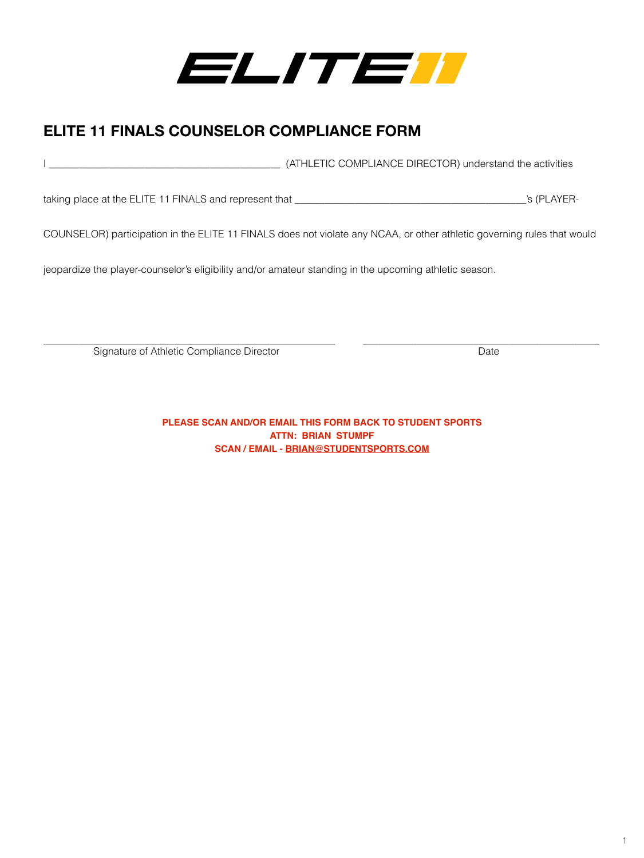

# **ELITE 11 FINALS COUNSELOR COMPLIANCE FORM**

I \_\_\_\_\_\_\_\_\_\_\_\_\_\_\_\_\_\_\_\_\_\_\_\_\_\_\_\_\_\_\_\_\_\_\_\_\_\_\_\_\_\_\_\_\_\_ (ATHLETIC COMPLIANCE DIRECTOR) understand the activities

taking place at the ELITE 11 FINALS and represent that \_\_\_\_\_\_\_\_\_\_\_\_\_\_\_\_\_\_\_\_\_\_\_\_\_\_\_\_\_\_\_\_\_\_\_\_\_\_\_\_\_\_\_\_\_\_'s (PLAYER-

COUNSELOR) participation in the ELITE 11 FINALS does not violate any NCAA, or other athletic governing rules that would

jeopardize the player-counselor's eligibility and/or amateur standing in the upcoming athletic season.

\_\_\_\_\_\_\_\_\_\_\_\_\_\_\_\_\_\_\_\_\_\_\_\_\_\_\_\_\_\_\_\_\_\_\_\_\_\_\_\_\_\_\_\_\_\_\_\_\_\_\_\_\_\_\_\_\_\_ \_\_\_\_\_\_\_\_\_\_\_\_\_\_\_\_\_\_\_\_\_\_\_\_\_\_\_\_\_\_\_\_\_\_\_\_\_\_\_\_\_\_\_\_\_\_\_ Signature of Athletic Compliance Director **Date** Date Date

**PLEASE SCAN AND/OR EMAIL THIS FORM BACK TO STUDENT SPORTS ATTN: BRIAN STUMPF SCAN / EMAIL - [BRIAN@STUDENTSPORTS.COM](mailto:BRIAN%40STUDENTSPORTS.COM?subject=)**